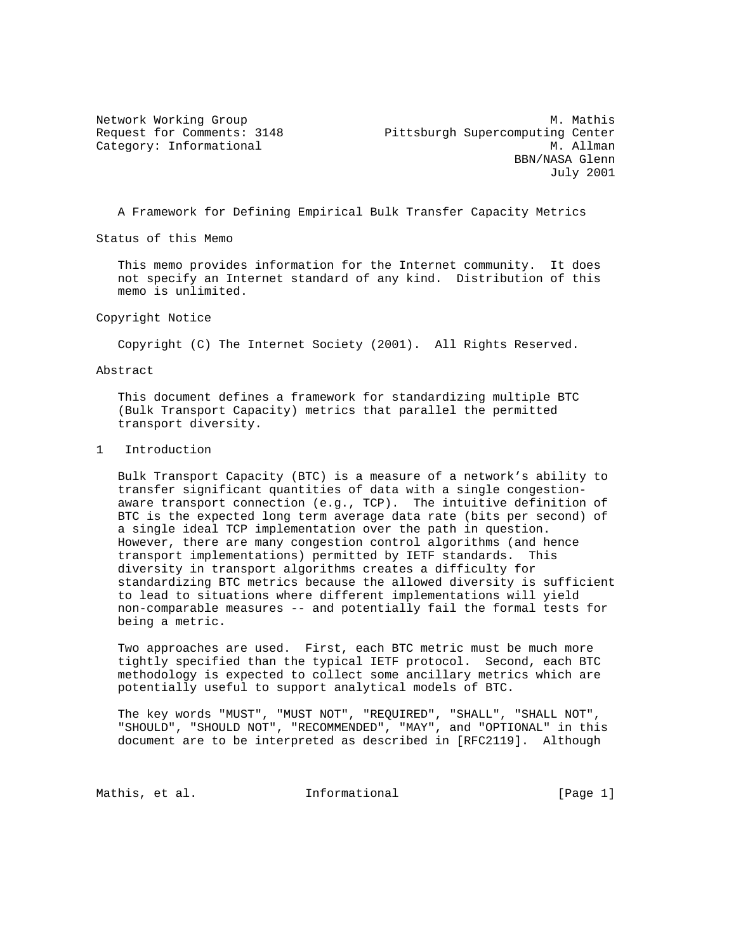Network Working Group Methods and Methods and Methods Methods and Methods Methods Methods Methods Methods Meth Request for Comments: 3148 Pittsburgh Supercomputing Center Category: Informational M. Allman BBN/NASA Glenn July 2001

A Framework for Defining Empirical Bulk Transfer Capacity Metrics

Status of this Memo

 This memo provides information for the Internet community. It does not specify an Internet standard of any kind. Distribution of this memo is unlimited.

Copyright Notice

Copyright (C) The Internet Society (2001). All Rights Reserved.

Abstract

 This document defines a framework for standardizing multiple BTC (Bulk Transport Capacity) metrics that parallel the permitted transport diversity.

1 Introduction

 Bulk Transport Capacity (BTC) is a measure of a network's ability to transfer significant quantities of data with a single congestion aware transport connection (e.g., TCP). The intuitive definition of BTC is the expected long term average data rate (bits per second) of a single ideal TCP implementation over the path in question. However, there are many congestion control algorithms (and hence transport implementations) permitted by IETF standards. This diversity in transport algorithms creates a difficulty for standardizing BTC metrics because the allowed diversity is sufficient to lead to situations where different implementations will yield non-comparable measures -- and potentially fail the formal tests for being a metric.

 Two approaches are used. First, each BTC metric must be much more tightly specified than the typical IETF protocol. Second, each BTC methodology is expected to collect some ancillary metrics which are potentially useful to support analytical models of BTC.

 The key words "MUST", "MUST NOT", "REQUIRED", "SHALL", "SHALL NOT", "SHOULD", "SHOULD NOT", "RECOMMENDED", "MAY", and "OPTIONAL" in this document are to be interpreted as described in [RFC2119]. Although

Mathis, et al. **Informational** [Page 1]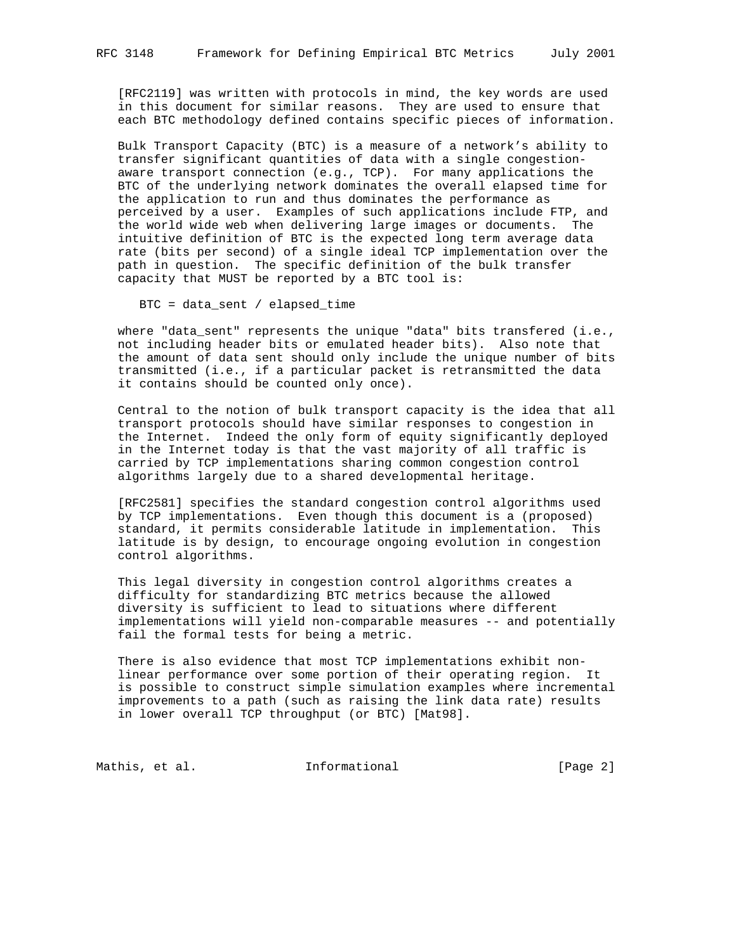[RFC2119] was written with protocols in mind, the key words are used in this document for similar reasons. They are used to ensure that each BTC methodology defined contains specific pieces of information.

 Bulk Transport Capacity (BTC) is a measure of a network's ability to transfer significant quantities of data with a single congestion aware transport connection (e.g., TCP). For many applications the BTC of the underlying network dominates the overall elapsed time for the application to run and thus dominates the performance as perceived by a user. Examples of such applications include FTP, and the world wide web when delivering large images or documents. The intuitive definition of BTC is the expected long term average data rate (bits per second) of a single ideal TCP implementation over the path in question. The specific definition of the bulk transfer capacity that MUST be reported by a BTC tool is:

BTC = data\_sent / elapsed\_time

where "data\_sent" represents the unique "data" bits transfered (i.e., not including header bits or emulated header bits). Also note that the amount of data sent should only include the unique number of bits transmitted (i.e., if a particular packet is retransmitted the data it contains should be counted only once).

 Central to the notion of bulk transport capacity is the idea that all transport protocols should have similar responses to congestion in the Internet. Indeed the only form of equity significantly deployed in the Internet today is that the vast majority of all traffic is carried by TCP implementations sharing common congestion control algorithms largely due to a shared developmental heritage.

 [RFC2581] specifies the standard congestion control algorithms used by TCP implementations. Even though this document is a (proposed) standard, it permits considerable latitude in implementation. This latitude is by design, to encourage ongoing evolution in congestion control algorithms.

 This legal diversity in congestion control algorithms creates a difficulty for standardizing BTC metrics because the allowed diversity is sufficient to lead to situations where different implementations will yield non-comparable measures -- and potentially fail the formal tests for being a metric.

 There is also evidence that most TCP implementations exhibit non linear performance over some portion of their operating region. It is possible to construct simple simulation examples where incremental improvements to a path (such as raising the link data rate) results in lower overall TCP throughput (or BTC) [Mat98].

Mathis, et al. 1nformational 1999 [Page 2]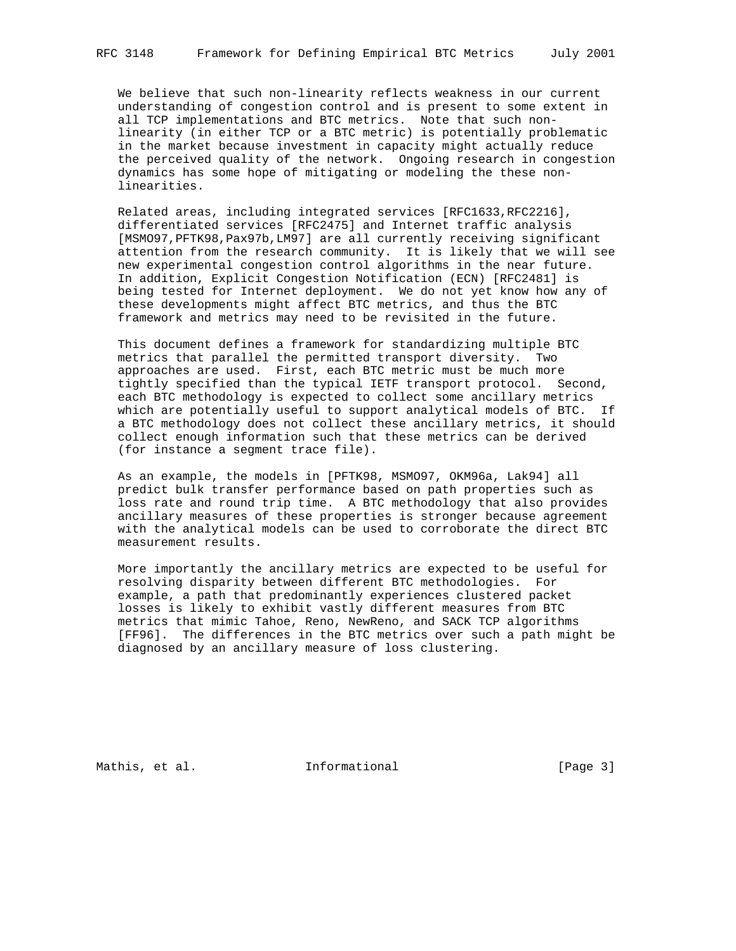We believe that such non-linearity reflects weakness in our current understanding of congestion control and is present to some extent in all TCP implementations and BTC metrics. Note that such non linearity (in either TCP or a BTC metric) is potentially problematic in the market because investment in capacity might actually reduce the perceived quality of the network. Ongoing research in congestion dynamics has some hope of mitigating or modeling the these non linearities.

 Related areas, including integrated services [RFC1633,RFC2216], differentiated services [RFC2475] and Internet traffic analysis [MSMO97,PFTK98,Pax97b,LM97] are all currently receiving significant attention from the research community. It is likely that we will see new experimental congestion control algorithms in the near future. In addition, Explicit Congestion Notification (ECN) [RFC2481] is being tested for Internet deployment. We do not yet know how any of these developments might affect BTC metrics, and thus the BTC framework and metrics may need to be revisited in the future.

 This document defines a framework for standardizing multiple BTC metrics that parallel the permitted transport diversity. Two approaches are used. First, each BTC metric must be much more tightly specified than the typical IETF transport protocol. Second, each BTC methodology is expected to collect some ancillary metrics which are potentially useful to support analytical models of BTC. If a BTC methodology does not collect these ancillary metrics, it should collect enough information such that these metrics can be derived (for instance a segment trace file).

 As an example, the models in [PFTK98, MSMO97, OKM96a, Lak94] all predict bulk transfer performance based on path properties such as loss rate and round trip time. A BTC methodology that also provides ancillary measures of these properties is stronger because agreement with the analytical models can be used to corroborate the direct BTC measurement results.

 More importantly the ancillary metrics are expected to be useful for resolving disparity between different BTC methodologies. For example, a path that predominantly experiences clustered packet losses is likely to exhibit vastly different measures from BTC metrics that mimic Tahoe, Reno, NewReno, and SACK TCP algorithms [FF96]. The differences in the BTC metrics over such a path might be diagnosed by an ancillary measure of loss clustering.

Mathis, et al. 1nformational 1999 [Page 3]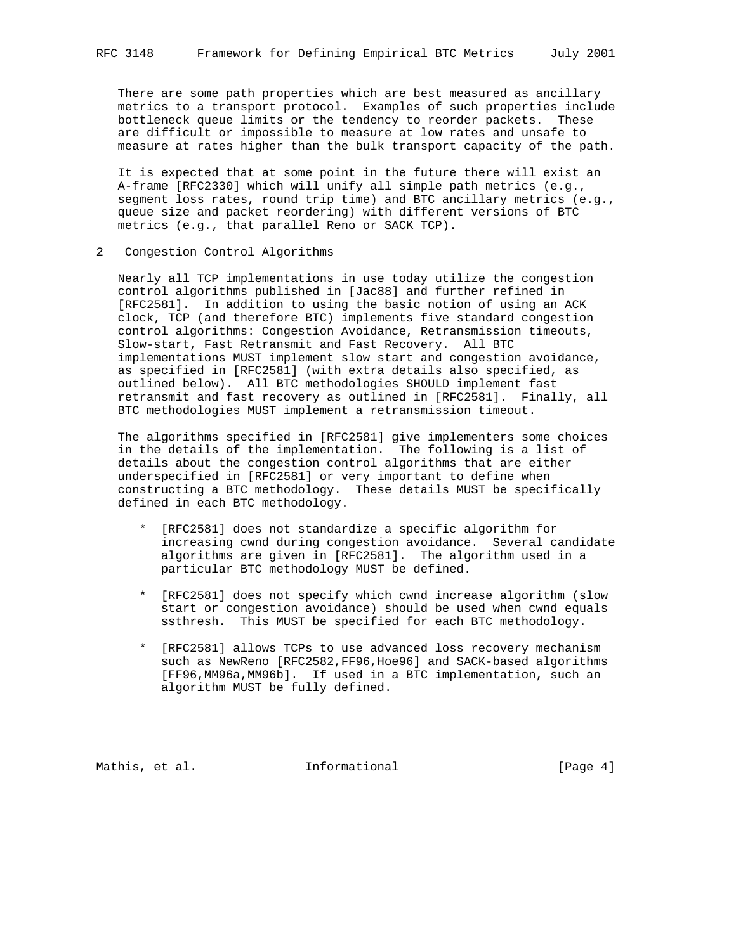There are some path properties which are best measured as ancillary metrics to a transport protocol. Examples of such properties include bottleneck queue limits or the tendency to reorder packets. These are difficult or impossible to measure at low rates and unsafe to measure at rates higher than the bulk transport capacity of the path.

 It is expected that at some point in the future there will exist an A-frame [RFC2330] which will unify all simple path metrics (e.g., segment loss rates, round trip time) and BTC ancillary metrics (e.g., queue size and packet reordering) with different versions of BTC metrics (e.g., that parallel Reno or SACK TCP).

2 Congestion Control Algorithms

 Nearly all TCP implementations in use today utilize the congestion control algorithms published in [Jac88] and further refined in [RFC2581]. In addition to using the basic notion of using an ACK clock, TCP (and therefore BTC) implements five standard congestion control algorithms: Congestion Avoidance, Retransmission timeouts, Slow-start, Fast Retransmit and Fast Recovery. All BTC implementations MUST implement slow start and congestion avoidance, as specified in [RFC2581] (with extra details also specified, as outlined below). All BTC methodologies SHOULD implement fast retransmit and fast recovery as outlined in [RFC2581]. Finally, all BTC methodologies MUST implement a retransmission timeout.

 The algorithms specified in [RFC2581] give implementers some choices in the details of the implementation. The following is a list of details about the congestion control algorithms that are either underspecified in [RFC2581] or very important to define when constructing a BTC methodology. These details MUST be specifically defined in each BTC methodology.

- \* [RFC2581] does not standardize a specific algorithm for increasing cwnd during congestion avoidance. Several candidate algorithms are given in [RFC2581]. The algorithm used in a particular BTC methodology MUST be defined.
- \* [RFC2581] does not specify which cwnd increase algorithm (slow start or congestion avoidance) should be used when cwnd equals ssthresh. This MUST be specified for each BTC methodology.
- \* [RFC2581] allows TCPs to use advanced loss recovery mechanism such as NewReno [RFC2582,FF96,Hoe96] and SACK-based algorithms [FF96,MM96a,MM96b]. If used in a BTC implementation, such an algorithm MUST be fully defined.

Mathis, et al. **Informational** [Page 4]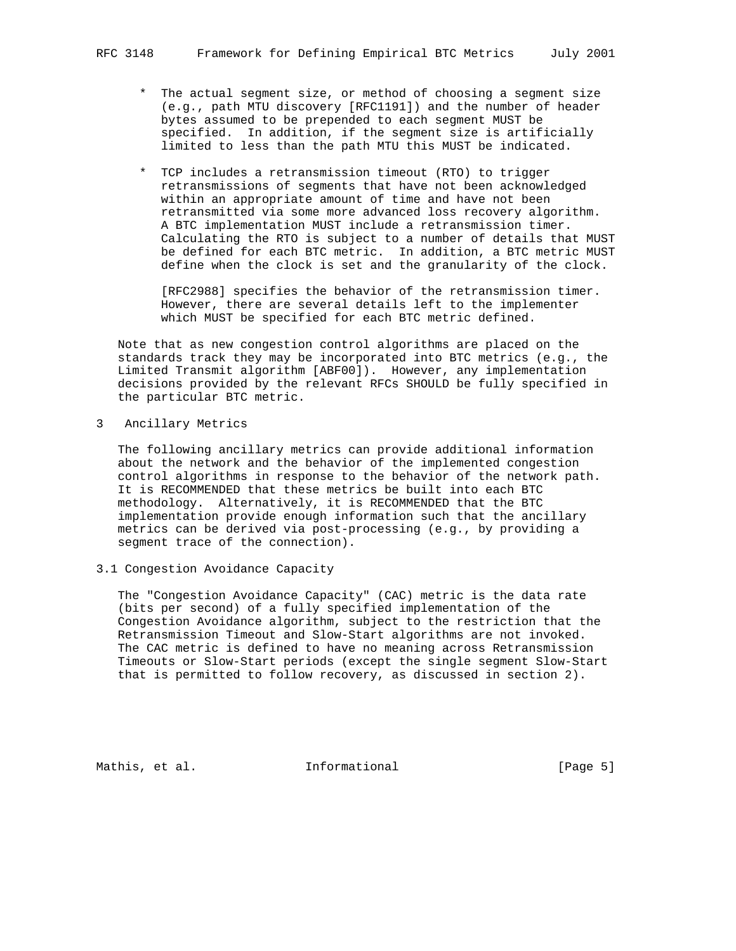- \* The actual segment size, or method of choosing a segment size (e.g., path MTU discovery [RFC1191]) and the number of header bytes assumed to be prepended to each segment MUST be specified. In addition, if the segment size is artificially limited to less than the path MTU this MUST be indicated.
- \* TCP includes a retransmission timeout (RTO) to trigger retransmissions of segments that have not been acknowledged within an appropriate amount of time and have not been retransmitted via some more advanced loss recovery algorithm. A BTC implementation MUST include a retransmission timer. Calculating the RTO is subject to a number of details that MUST be defined for each BTC metric. In addition, a BTC metric MUST define when the clock is set and the granularity of the clock.

 [RFC2988] specifies the behavior of the retransmission timer. However, there are several details left to the implementer which MUST be specified for each BTC metric defined.

 Note that as new congestion control algorithms are placed on the standards track they may be incorporated into BTC metrics (e.g., the Limited Transmit algorithm [ABF00]). However, any implementation decisions provided by the relevant RFCs SHOULD be fully specified in the particular BTC metric.

3 Ancillary Metrics

 The following ancillary metrics can provide additional information about the network and the behavior of the implemented congestion control algorithms in response to the behavior of the network path. It is RECOMMENDED that these metrics be built into each BTC methodology. Alternatively, it is RECOMMENDED that the BTC implementation provide enough information such that the ancillary metrics can be derived via post-processing (e.g., by providing a segment trace of the connection).

3.1 Congestion Avoidance Capacity

 The "Congestion Avoidance Capacity" (CAC) metric is the data rate (bits per second) of a fully specified implementation of the Congestion Avoidance algorithm, subject to the restriction that the Retransmission Timeout and Slow-Start algorithms are not invoked. The CAC metric is defined to have no meaning across Retransmission Timeouts or Slow-Start periods (except the single segment Slow-Start that is permitted to follow recovery, as discussed in section 2).

Mathis, et al. **Informational** [Page 5]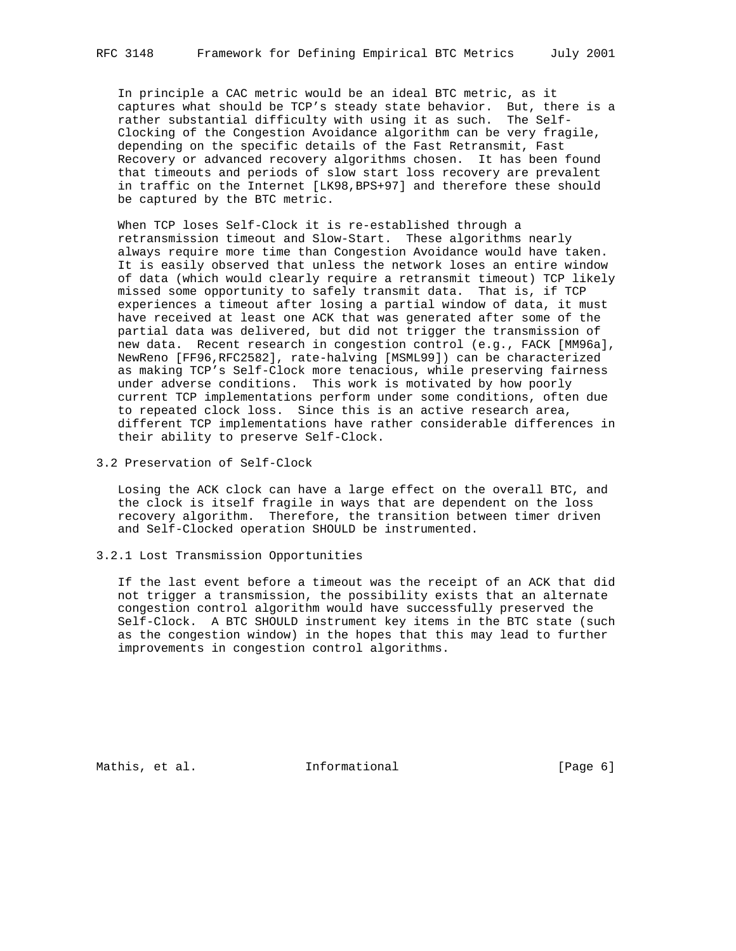In principle a CAC metric would be an ideal BTC metric, as it captures what should be TCP's steady state behavior. But, there is a rather substantial difficulty with using it as such. The Self- Clocking of the Congestion Avoidance algorithm can be very fragile, depending on the specific details of the Fast Retransmit, Fast Recovery or advanced recovery algorithms chosen. It has been found that timeouts and periods of slow start loss recovery are prevalent in traffic on the Internet [LK98,BPS+97] and therefore these should be captured by the BTC metric.

 When TCP loses Self-Clock it is re-established through a retransmission timeout and Slow-Start. These algorithms nearly always require more time than Congestion Avoidance would have taken. It is easily observed that unless the network loses an entire window of data (which would clearly require a retransmit timeout) TCP likely missed some opportunity to safely transmit data. That is, if TCP experiences a timeout after losing a partial window of data, it must have received at least one ACK that was generated after some of the partial data was delivered, but did not trigger the transmission of new data. Recent research in congestion control (e.g., FACK [MM96a], NewReno [FF96,RFC2582], rate-halving [MSML99]) can be characterized as making TCP's Self-Clock more tenacious, while preserving fairness under adverse conditions. This work is motivated by how poorly current TCP implementations perform under some conditions, often due to repeated clock loss. Since this is an active research area, different TCP implementations have rather considerable differences in their ability to preserve Self-Clock.

3.2 Preservation of Self-Clock

 Losing the ACK clock can have a large effect on the overall BTC, and the clock is itself fragile in ways that are dependent on the loss recovery algorithm. Therefore, the transition between timer driven and Self-Clocked operation SHOULD be instrumented.

## 3.2.1 Lost Transmission Opportunities

 If the last event before a timeout was the receipt of an ACK that did not trigger a transmission, the possibility exists that an alternate congestion control algorithm would have successfully preserved the Self-Clock. A BTC SHOULD instrument key items in the BTC state (such as the congestion window) in the hopes that this may lead to further improvements in congestion control algorithms.

Mathis, et al. **Informational** [Page 6]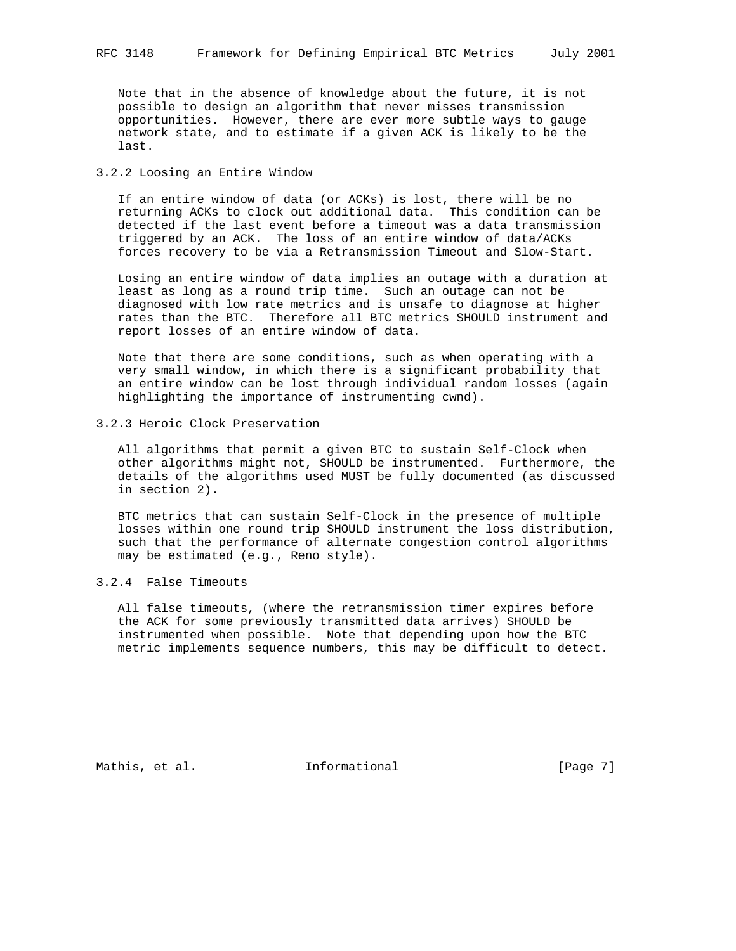Note that in the absence of knowledge about the future, it is not possible to design an algorithm that never misses transmission opportunities. However, there are ever more subtle ways to gauge network state, and to estimate if a given ACK is likely to be the last.

## 3.2.2 Loosing an Entire Window

 If an entire window of data (or ACKs) is lost, there will be no returning ACKs to clock out additional data. This condition can be detected if the last event before a timeout was a data transmission triggered by an ACK. The loss of an entire window of data/ACKs forces recovery to be via a Retransmission Timeout and Slow-Start.

 Losing an entire window of data implies an outage with a duration at least as long as a round trip time. Such an outage can not be diagnosed with low rate metrics and is unsafe to diagnose at higher rates than the BTC. Therefore all BTC metrics SHOULD instrument and report losses of an entire window of data.

 Note that there are some conditions, such as when operating with a very small window, in which there is a significant probability that an entire window can be lost through individual random losses (again highlighting the importance of instrumenting cwnd).

3.2.3 Heroic Clock Preservation

 All algorithms that permit a given BTC to sustain Self-Clock when other algorithms might not, SHOULD be instrumented. Furthermore, the details of the algorithms used MUST be fully documented (as discussed in section 2).

 BTC metrics that can sustain Self-Clock in the presence of multiple losses within one round trip SHOULD instrument the loss distribution, such that the performance of alternate congestion control algorithms may be estimated (e.g., Reno style).

3.2.4 False Timeouts

 All false timeouts, (where the retransmission timer expires before the ACK for some previously transmitted data arrives) SHOULD be instrumented when possible. Note that depending upon how the BTC metric implements sequence numbers, this may be difficult to detect.

Mathis, et al. 1nformational 1999 [Page 7]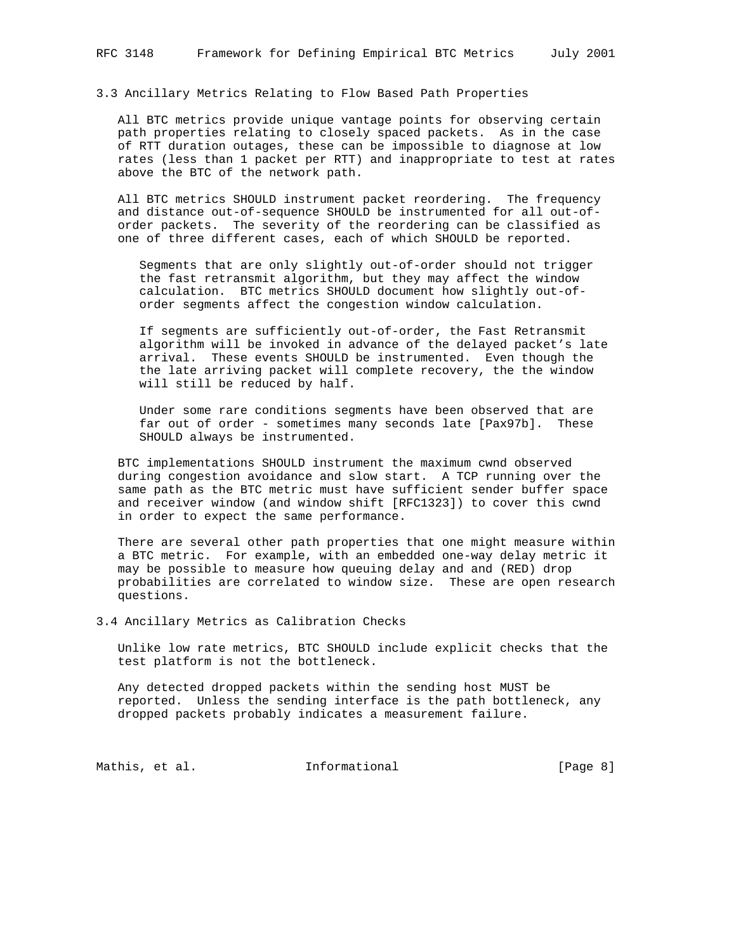3.3 Ancillary Metrics Relating to Flow Based Path Properties

 All BTC metrics provide unique vantage points for observing certain path properties relating to closely spaced packets. As in the case of RTT duration outages, these can be impossible to diagnose at low rates (less than 1 packet per RTT) and inappropriate to test at rates above the BTC of the network path.

 All BTC metrics SHOULD instrument packet reordering. The frequency and distance out-of-sequence SHOULD be instrumented for all out-of order packets. The severity of the reordering can be classified as one of three different cases, each of which SHOULD be reported.

 Segments that are only slightly out-of-order should not trigger the fast retransmit algorithm, but they may affect the window calculation. BTC metrics SHOULD document how slightly out-of order segments affect the congestion window calculation.

 If segments are sufficiently out-of-order, the Fast Retransmit algorithm will be invoked in advance of the delayed packet's late arrival. These events SHOULD be instrumented. Even though the the late arriving packet will complete recovery, the the window will still be reduced by half.

 Under some rare conditions segments have been observed that are far out of order - sometimes many seconds late [Pax97b]. These SHOULD always be instrumented.

 BTC implementations SHOULD instrument the maximum cwnd observed during congestion avoidance and slow start. A TCP running over the same path as the BTC metric must have sufficient sender buffer space and receiver window (and window shift [RFC1323]) to cover this cwnd in order to expect the same performance.

 There are several other path properties that one might measure within a BTC metric. For example, with an embedded one-way delay metric it may be possible to measure how queuing delay and and (RED) drop probabilities are correlated to window size. These are open research questions.

3.4 Ancillary Metrics as Calibration Checks

 Unlike low rate metrics, BTC SHOULD include explicit checks that the test platform is not the bottleneck.

 Any detected dropped packets within the sending host MUST be reported. Unless the sending interface is the path bottleneck, any dropped packets probably indicates a measurement failure.

Mathis, et al. 1nformational 1999 [Page 8]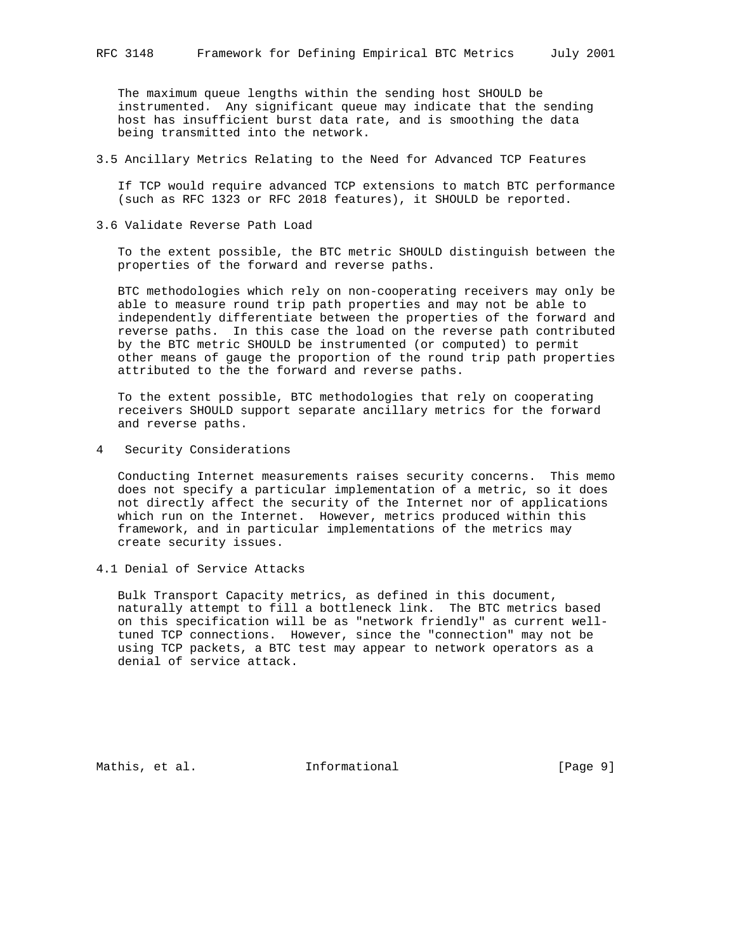The maximum queue lengths within the sending host SHOULD be instrumented. Any significant queue may indicate that the sending host has insufficient burst data rate, and is smoothing the data being transmitted into the network.

3.5 Ancillary Metrics Relating to the Need for Advanced TCP Features

 If TCP would require advanced TCP extensions to match BTC performance (such as RFC 1323 or RFC 2018 features), it SHOULD be reported.

3.6 Validate Reverse Path Load

 To the extent possible, the BTC metric SHOULD distinguish between the properties of the forward and reverse paths.

 BTC methodologies which rely on non-cooperating receivers may only be able to measure round trip path properties and may not be able to independently differentiate between the properties of the forward and reverse paths. In this case the load on the reverse path contributed by the BTC metric SHOULD be instrumented (or computed) to permit other means of gauge the proportion of the round trip path properties attributed to the the forward and reverse paths.

 To the extent possible, BTC methodologies that rely on cooperating receivers SHOULD support separate ancillary metrics for the forward and reverse paths.

4 Security Considerations

 Conducting Internet measurements raises security concerns. This memo does not specify a particular implementation of a metric, so it does not directly affect the security of the Internet nor of applications which run on the Internet. However, metrics produced within this framework, and in particular implementations of the metrics may create security issues.

4.1 Denial of Service Attacks

 Bulk Transport Capacity metrics, as defined in this document, naturally attempt to fill a bottleneck link. The BTC metrics based on this specification will be as "network friendly" as current well tuned TCP connections. However, since the "connection" may not be using TCP packets, a BTC test may appear to network operators as a denial of service attack.

Mathis, et al. **Informational** [Page 9]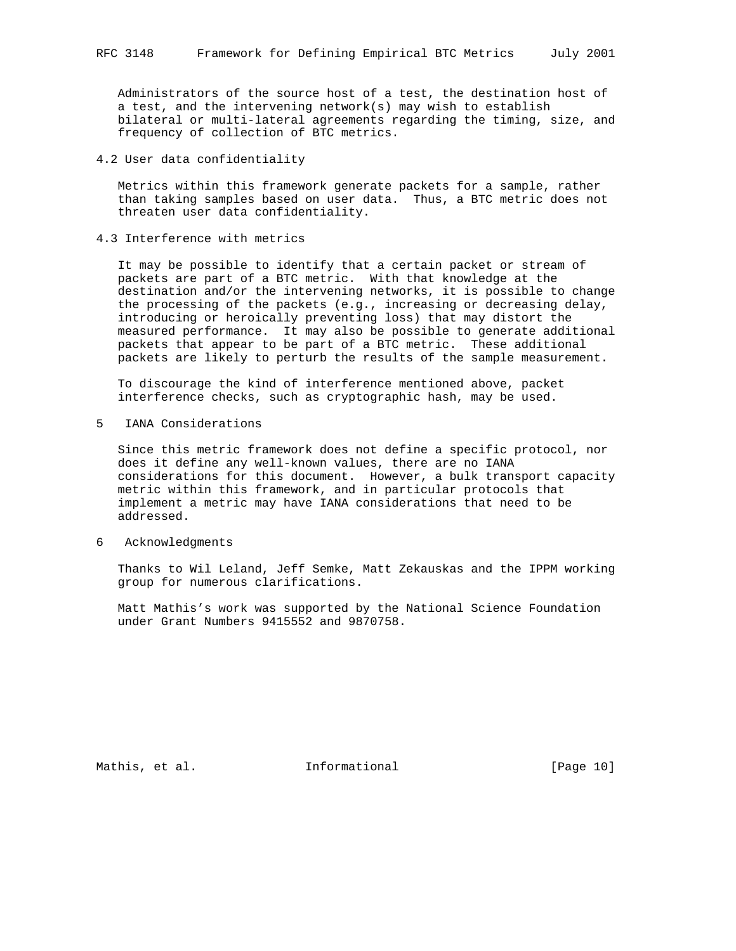Administrators of the source host of a test, the destination host of a test, and the intervening network(s) may wish to establish bilateral or multi-lateral agreements regarding the timing, size, and frequency of collection of BTC metrics.

4.2 User data confidentiality

 Metrics within this framework generate packets for a sample, rather than taking samples based on user data. Thus, a BTC metric does not threaten user data confidentiality.

4.3 Interference with metrics

 It may be possible to identify that a certain packet or stream of packets are part of a BTC metric. With that knowledge at the destination and/or the intervening networks, it is possible to change the processing of the packets (e.g., increasing or decreasing delay, introducing or heroically preventing loss) that may distort the measured performance. It may also be possible to generate additional packets that appear to be part of a BTC metric. These additional packets are likely to perturb the results of the sample measurement.

 To discourage the kind of interference mentioned above, packet interference checks, such as cryptographic hash, may be used.

5 IANA Considerations

 Since this metric framework does not define a specific protocol, nor does it define any well-known values, there are no IANA considerations for this document. However, a bulk transport capacity metric within this framework, and in particular protocols that implement a metric may have IANA considerations that need to be addressed.

6 Acknowledgments

 Thanks to Wil Leland, Jeff Semke, Matt Zekauskas and the IPPM working group for numerous clarifications.

 Matt Mathis's work was supported by the National Science Foundation under Grant Numbers 9415552 and 9870758.

Mathis, et al. 1nformational 1999 [Page 10]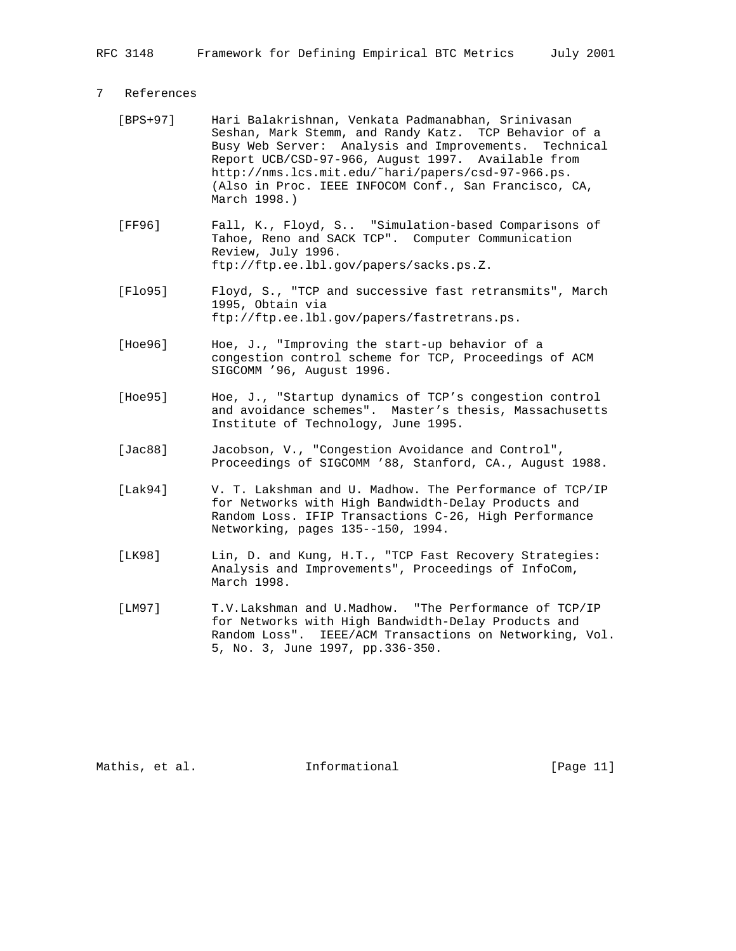## 7 References

- [BPS+97] Hari Balakrishnan, Venkata Padmanabhan, Srinivasan Seshan, Mark Stemm, and Randy Katz. TCP Behavior of a Busy Web Server: Analysis and Improvements. Technical Report UCB/CSD-97-966, August 1997. Available from http://nms.lcs.mit.edu/˜hari/papers/csd-97-966.ps. (Also in Proc. IEEE INFOCOM Conf., San Francisco, CA, March 1998.)
- [FF96] Fall, K., Floyd, S.. "Simulation-based Comparisons of Tahoe, Reno and SACK TCP". Computer Communication Review, July 1996. ftp://ftp.ee.lbl.gov/papers/sacks.ps.Z.
- [Flo95] Floyd, S., "TCP and successive fast retransmits", March 1995, Obtain via ftp://ftp.ee.lbl.gov/papers/fastretrans.ps.
- [Hoe96] Hoe, J., "Improving the start-up behavior of a congestion control scheme for TCP, Proceedings of ACM SIGCOMM '96, August 1996.
- [Hoe95] Hoe, J., "Startup dynamics of TCP's congestion control and avoidance schemes". Master's thesis, Massachusetts Institute of Technology, June 1995.
- [Jac88] Jacobson, V., "Congestion Avoidance and Control", Proceedings of SIGCOMM '88, Stanford, CA., August 1988.
- [Lak94] V. T. Lakshman and U. Madhow. The Performance of TCP/IP for Networks with High Bandwidth-Delay Products and Random Loss. IFIP Transactions C-26, High Performance Networking, pages 135--150, 1994.
- [LK98] Lin, D. and Kung, H.T., "TCP Fast Recovery Strategies: Analysis and Improvements", Proceedings of InfoCom, March 1998.
- [LM97] T.V.Lakshman and U.Madhow. "The Performance of TCP/IP for Networks with High Bandwidth-Delay Products and Random Loss". IEEE/ACM Transactions on Networking, Vol. 5, No. 3, June 1997, pp.336-350.

Mathis, et al. **Informational** [Page 11]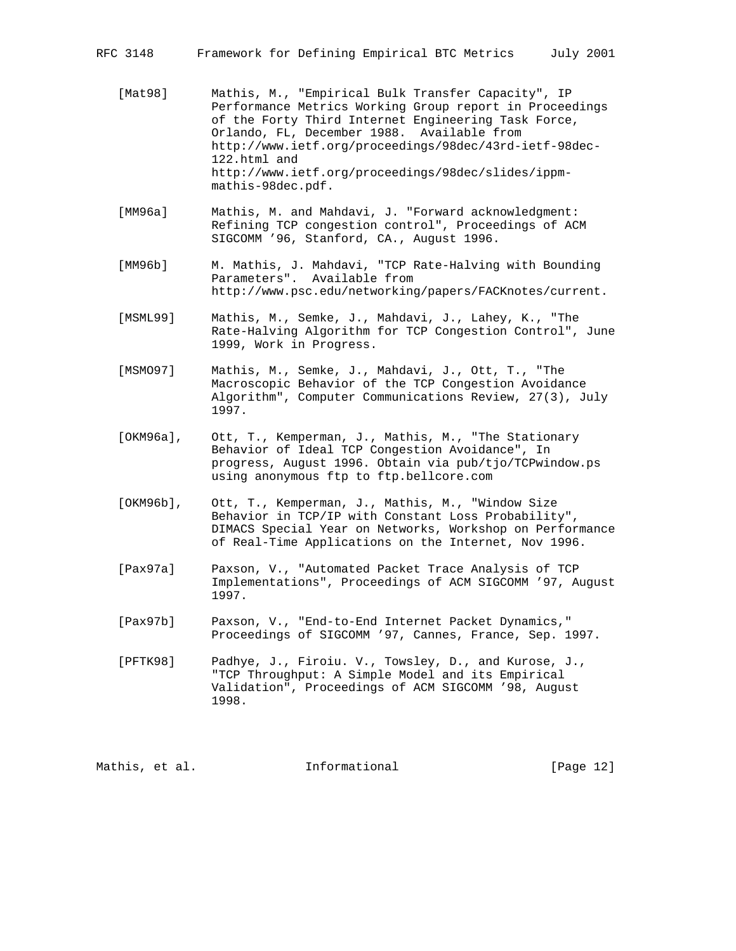- [Mat98] Mathis, M., "Empirical Bulk Transfer Capacity", IP Performance Metrics Working Group report in Proceedings of the Forty Third Internet Engineering Task Force, Orlando, FL, December 1988. Available from http://www.ietf.org/proceedings/98dec/43rd-ietf-98dec- 122.html and http://www.ietf.org/proceedings/98dec/slides/ippm mathis-98dec.pdf.
- [MM96a] Mathis, M. and Mahdavi, J. "Forward acknowledgment: Refining TCP congestion control", Proceedings of ACM SIGCOMM '96, Stanford, CA., August 1996.
- [MM96b] M. Mathis, J. Mahdavi, "TCP Rate-Halving with Bounding Parameters". Available from http://www.psc.edu/networking/papers/FACKnotes/current.
- [MSML99] Mathis, M., Semke, J., Mahdavi, J., Lahey, K., "The Rate-Halving Algorithm for TCP Congestion Control", June 1999, Work in Progress.
- [MSMO97] Mathis, M., Semke, J., Mahdavi, J., Ott, T., "The Macroscopic Behavior of the TCP Congestion Avoidance Algorithm", Computer Communications Review, 27(3), July 1997.
- [OKM96a], Ott, T., Kemperman, J., Mathis, M., "The Stationary Behavior of Ideal TCP Congestion Avoidance", In progress, August 1996. Obtain via pub/tjo/TCPwindow.ps using anonymous ftp to ftp.bellcore.com
- [OKM96b], Ott, T., Kemperman, J., Mathis, M., "Window Size Behavior in TCP/IP with Constant Loss Probability", DIMACS Special Year on Networks, Workshop on Performance of Real-Time Applications on the Internet, Nov 1996.
- [Pax97a] Paxson, V., "Automated Packet Trace Analysis of TCP Implementations", Proceedings of ACM SIGCOMM '97, August 1997.
- [Pax97b] Paxson, V., "End-to-End Internet Packet Dynamics," Proceedings of SIGCOMM '97, Cannes, France, Sep. 1997.

 [PFTK98] Padhye, J., Firoiu. V., Towsley, D., and Kurose, J., "TCP Throughput: A Simple Model and its Empirical Validation", Proceedings of ACM SIGCOMM '98, August 1998.

Mathis, et al. **Informational** [Page 12]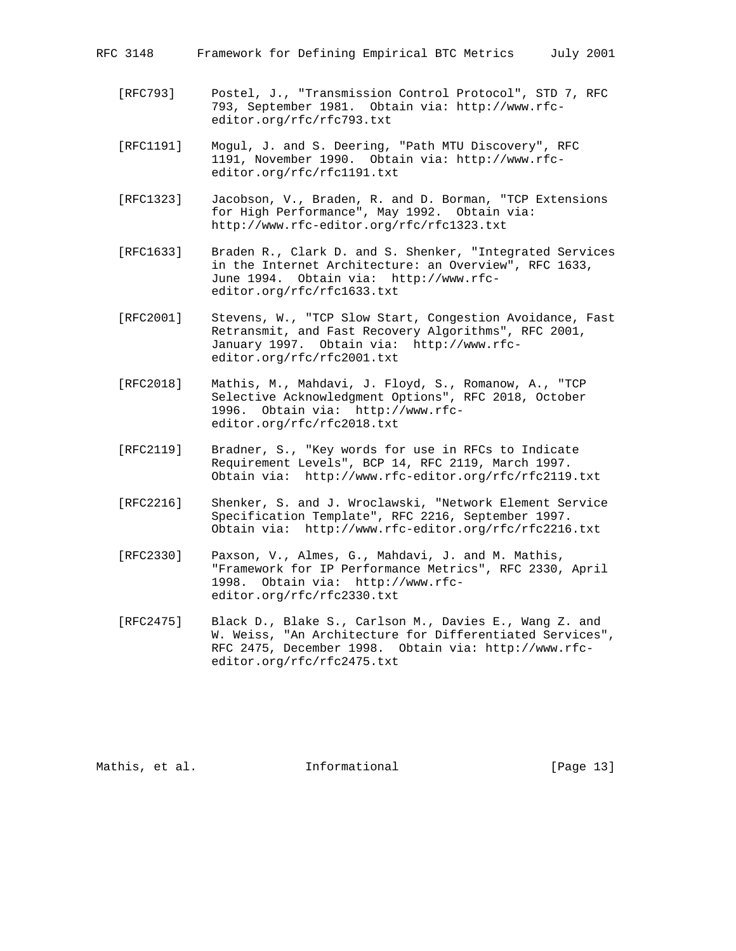| Framework for Defining Empirical BTC Metrics<br>RFC 3148 |  | July 2001 |
|----------------------------------------------------------|--|-----------|
|----------------------------------------------------------|--|-----------|

- [RFC793] Postel, J., "Transmission Control Protocol", STD 7, RFC 793, September 1981. Obtain via: http://www.rfc editor.org/rfc/rfc793.txt
- [RFC1191] Mogul, J. and S. Deering, "Path MTU Discovery", RFC 1191, November 1990. Obtain via: http://www.rfc editor.org/rfc/rfc1191.txt
- [RFC1323] Jacobson, V., Braden, R. and D. Borman, "TCP Extensions for High Performance", May 1992. Obtain via: http://www.rfc-editor.org/rfc/rfc1323.txt
- [RFC1633] Braden R., Clark D. and S. Shenker, "Integrated Services in the Internet Architecture: an Overview", RFC 1633, June 1994. Obtain via: http://www.rfc editor.org/rfc/rfc1633.txt
- [RFC2001] Stevens, W., "TCP Slow Start, Congestion Avoidance, Fast Retransmit, and Fast Recovery Algorithms", RFC 2001, January 1997. Obtain via: http://www.rfc editor.org/rfc/rfc2001.txt
- [RFC2018] Mathis, M., Mahdavi, J. Floyd, S., Romanow, A., "TCP Selective Acknowledgment Options", RFC 2018, October 1996. Obtain via: http://www.rfc editor.org/rfc/rfc2018.txt
- [RFC2119] Bradner, S., "Key words for use in RFCs to Indicate Requirement Levels", BCP 14, RFC 2119, March 1997. Obtain via: http://www.rfc-editor.org/rfc/rfc2119.txt
- [RFC2216] Shenker, S. and J. Wroclawski, "Network Element Service Specification Template", RFC 2216, September 1997. Obtain via: http://www.rfc-editor.org/rfc/rfc2216.txt
- [RFC2330] Paxson, V., Almes, G., Mahdavi, J. and M. Mathis, "Framework for IP Performance Metrics", RFC 2330, April 1998. Obtain via: http://www.rfc editor.org/rfc/rfc2330.txt
- [RFC2475] Black D., Blake S., Carlson M., Davies E., Wang Z. and W. Weiss, "An Architecture for Differentiated Services", RFC 2475, December 1998. Obtain via: http://www.rfc editor.org/rfc/rfc2475.txt

Mathis, et al. **Informational** [Page 13]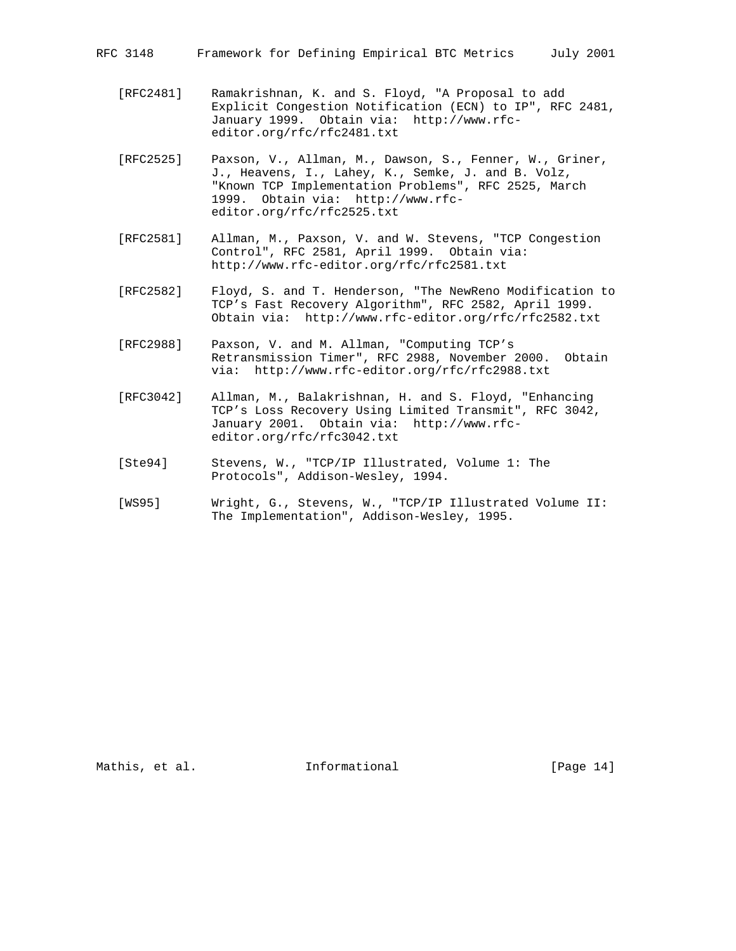- [RFC2481] Ramakrishnan, K. and S. Floyd, "A Proposal to add Explicit Congestion Notification (ECN) to IP", RFC 2481, January 1999. Obtain via: http://www.rfc editor.org/rfc/rfc2481.txt
- [RFC2525] Paxson, V., Allman, M., Dawson, S., Fenner, W., Griner, J., Heavens, I., Lahey, K., Semke, J. and B. Volz, "Known TCP Implementation Problems", RFC 2525, March 1999. Obtain via: http://www.rfc editor.org/rfc/rfc2525.txt
- [RFC2581] Allman, M., Paxson, V. and W. Stevens, "TCP Congestion Control", RFC 2581, April 1999. Obtain via: http://www.rfc-editor.org/rfc/rfc2581.txt
- [RFC2582] Floyd, S. and T. Henderson, "The NewReno Modification to TCP's Fast Recovery Algorithm", RFC 2582, April 1999. Obtain via: http://www.rfc-editor.org/rfc/rfc2582.txt
- [RFC2988] Paxson, V. and M. Allman, "Computing TCP's Retransmission Timer", RFC 2988, November 2000. Obtain via: http://www.rfc-editor.org/rfc/rfc2988.txt
- [RFC3042] Allman, M., Balakrishnan, H. and S. Floyd, "Enhancing TCP's Loss Recovery Using Limited Transmit", RFC 3042, January 2001. Obtain via: http://www.rfc editor.org/rfc/rfc3042.txt
- [Ste94] Stevens, W., "TCP/IP Illustrated, Volume 1: The Protocols", Addison-Wesley, 1994.
- [WS95] Wright, G., Stevens, W., "TCP/IP Illustrated Volume II: The Implementation", Addison-Wesley, 1995.

Mathis, et al. **Informational** [Page 14]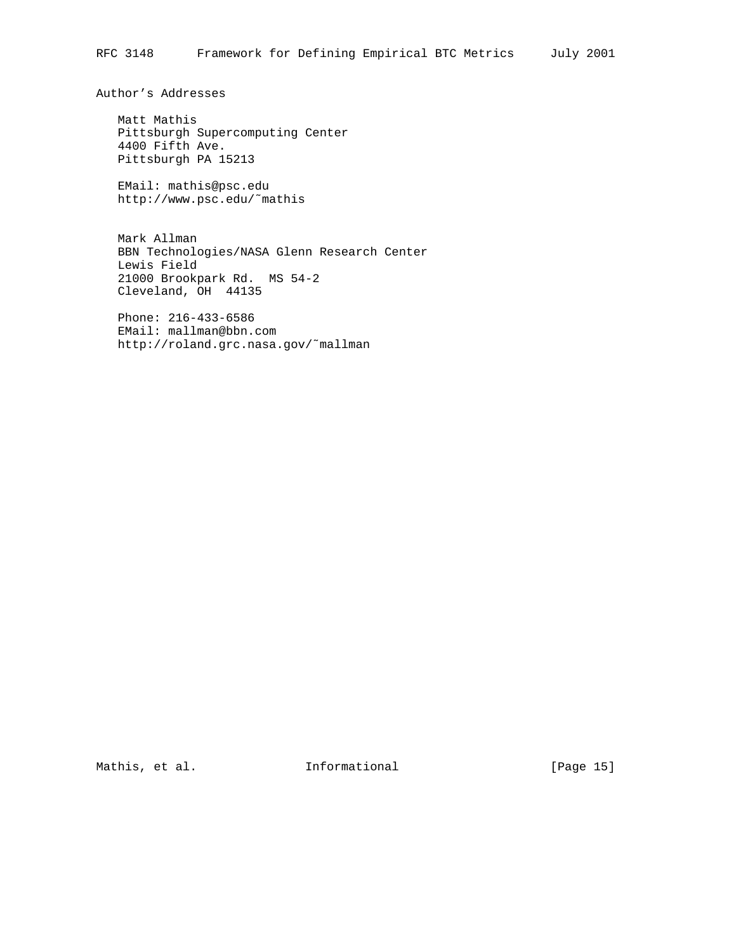Author's Addresses

 Matt Mathis Pittsburgh Supercomputing Center 4400 Fifth Ave. Pittsburgh PA 15213

 EMail: mathis@psc.edu http://www.psc.edu/˜mathis

 Mark Allman BBN Technologies/NASA Glenn Research Center Lewis Field 21000 Brookpark Rd. MS 54-2 Cleveland, OH 44135

 Phone: 216-433-6586 EMail: mallman@bbn.com http://roland.grc.nasa.gov/˜mallman